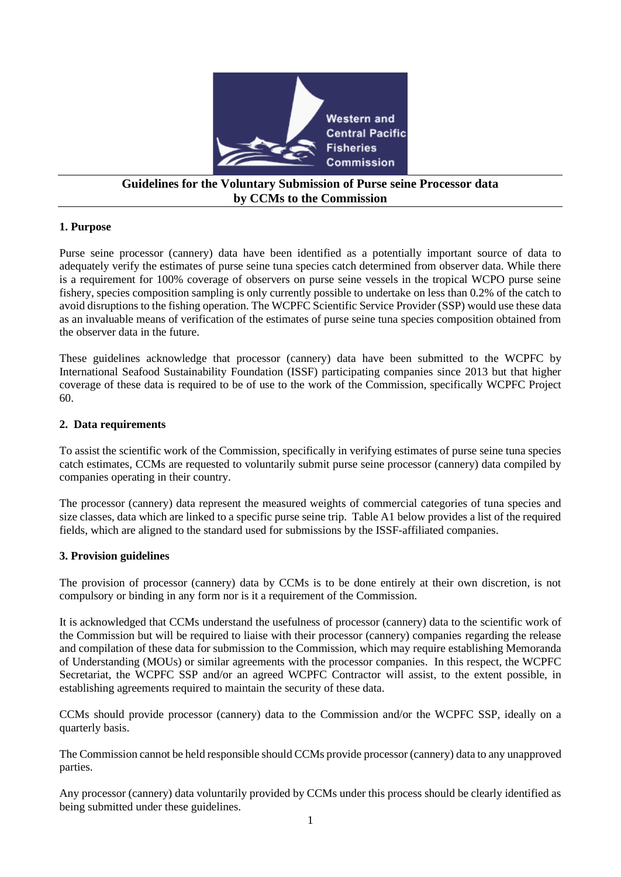

# **Guidelines for the Voluntary Submission of Purse seine Processor data by CCMs to the Commission**

# **1. Purpose**

Purse seine processor (cannery) data have been identified as a potentially important source of data to adequately verify the estimates of purse seine tuna species catch determined from observer data. While there is a requirement for 100% coverage of observers on purse seine vessels in the tropical WCPO purse seine fishery, species composition sampling is only currently possible to undertake on less than 0.2% of the catch to avoid disruptions to the fishing operation. The WCPFC Scientific Service Provider (SSP) would use these data as an invaluable means of verification of the estimates of purse seine tuna species composition obtained from the observer data in the future.

These guidelines acknowledge that processor (cannery) data have been submitted to the WCPFC by International Seafood Sustainability Foundation (ISSF) participating companies since 2013 but that higher coverage of these data is required to be of use to the work of the Commission, specifically WCPFC Project 60.

# **2. Data requirements**

To assist the scientific work of the Commission, specifically in verifying estimates of purse seine tuna species catch estimates, CCMs are requested to voluntarily submit purse seine processor (cannery) data compiled by companies operating in their country.

The processor (cannery) data represent the measured weights of commercial categories of tuna species and size classes, data which are linked to a specific purse seine trip. Table A1 below provides a list of the required fields, which are aligned to the standard used for submissions by the ISSF-affiliated companies.

#### **3. Provision guidelines**

The provision of processor (cannery) data by CCMs is to be done entirely at their own discretion, is not compulsory or binding in any form nor is it a requirement of the Commission.

It is acknowledged that CCMs understand the usefulness of processor (cannery) data to the scientific work of the Commission but will be required to liaise with their processor (cannery) companies regarding the release and compilation of these data for submission to the Commission, which may require establishing Memoranda of Understanding (MOUs) or similar agreements with the processor companies. In this respect, the WCPFC Secretariat, the WCPFC SSP and/or an agreed WCPFC Contractor will assist, to the extent possible, in establishing agreements required to maintain the security of these data.

CCMs should provide processor (cannery) data to the Commission and/or the WCPFC SSP, ideally on a quarterly basis.

The Commission cannot be held responsible should CCMs provide processor (cannery) data to any unapproved parties.

Any processor (cannery) data voluntarily provided by CCMs under this process should be clearly identified as being submitted under these guidelines.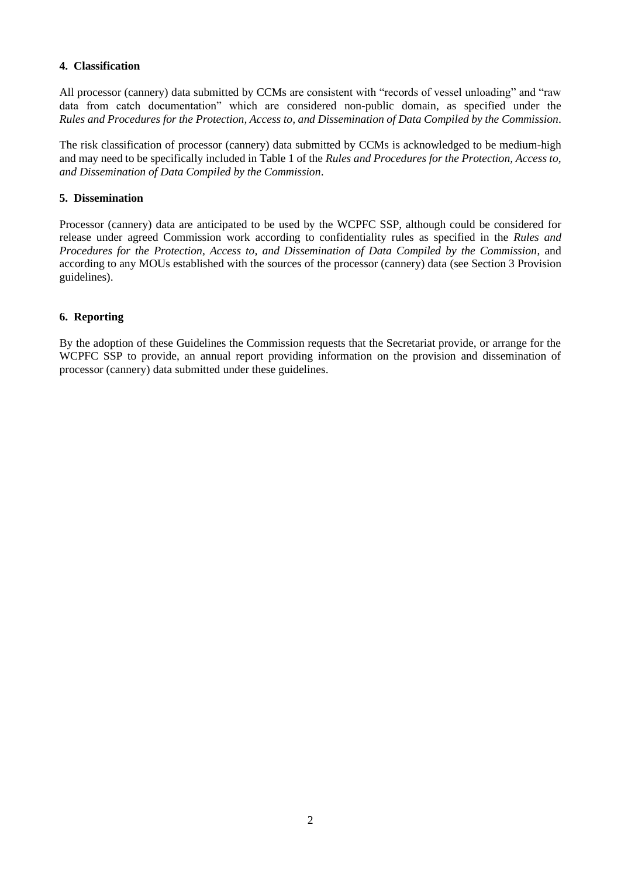# **4. Classification**

All processor (cannery) data submitted by CCMs are consistent with "records of vessel unloading" and "raw data from catch documentation" which are considered non-public domain, as specified under the *Rules and Procedures for the Protection, Access to, and Dissemination of Data Compiled by the Commission*.

The risk classification of processor (cannery) data submitted by CCMs is acknowledged to be medium-high and may need to be specifically included in Table 1 of the *Rules and Procedures for the Protection, Access to, and Dissemination of Data Compiled by the Commission*.

#### **5. Dissemination**

Processor (cannery) data are anticipated to be used by the WCPFC SSP, although could be considered for release under agreed Commission work according to confidentiality rules as specified in the *Rules and Procedures for the Protection, Access to, and Dissemination of Data Compiled by the Commission*, and according to any MOUs established with the sources of the processor (cannery) data (see Section 3 Provision guidelines).

# **6. Reporting**

By the adoption of these Guidelines the Commission requests that the Secretariat provide, or arrange for the WCPFC SSP to provide, an annual report providing information on the provision and dissemination of processor (cannery) data submitted under these guidelines.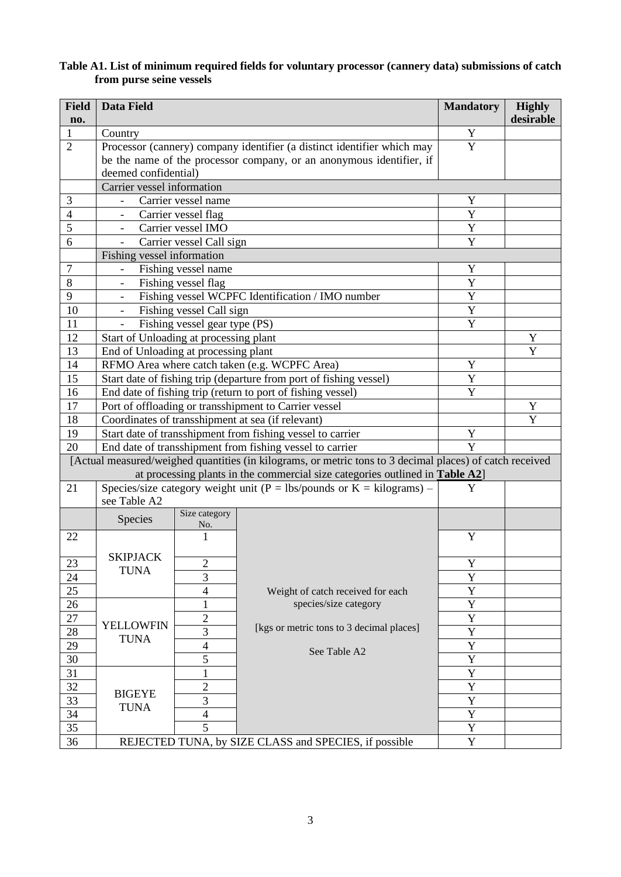| <b>Field</b><br>no. | Data Field                                                                                                                                                                               |                                                            |                                                       | <b>Mandatory</b> | <b>Highly</b><br>desirable |  |  |  |
|---------------------|------------------------------------------------------------------------------------------------------------------------------------------------------------------------------------------|------------------------------------------------------------|-------------------------------------------------------|------------------|----------------------------|--|--|--|
| $\mathbf{1}$        | Country                                                                                                                                                                                  |                                                            |                                                       |                  |                            |  |  |  |
| $\overline{2}$      | Processor (cannery) company identifier (a distinct identifier which may                                                                                                                  | Y                                                          |                                                       |                  |                            |  |  |  |
|                     | be the name of the processor company, or an anonymous identifier, if                                                                                                                     |                                                            |                                                       |                  |                            |  |  |  |
|                     | deemed confidential)                                                                                                                                                                     |                                                            |                                                       |                  |                            |  |  |  |
|                     | Carrier vessel information                                                                                                                                                               |                                                            |                                                       |                  |                            |  |  |  |
| 3                   | Carrier vessel name                                                                                                                                                                      |                                                            |                                                       | Y<br>Y           |                            |  |  |  |
| $\overline{4}$      |                                                                                                                                                                                          | Carrier vessel flag                                        |                                                       |                  |                            |  |  |  |
| 5                   |                                                                                                                                                                                          | Carrier vessel IMO                                         |                                                       |                  |                            |  |  |  |
| 6                   | Carrier vessel Call sign<br>$\overline{\phantom{a}}$                                                                                                                                     | Y                                                          |                                                       |                  |                            |  |  |  |
|                     | Fishing vessel information                                                                                                                                                               |                                                            |                                                       |                  |                            |  |  |  |
| $\overline{7}$      | Fishing vessel name                                                                                                                                                                      | Y                                                          |                                                       |                  |                            |  |  |  |
| 8                   | Fishing vessel flag                                                                                                                                                                      | Y<br>Y                                                     |                                                       |                  |                            |  |  |  |
| 9                   |                                                                                                                                                                                          | Fishing vessel WCPFC Identification / IMO number           |                                                       |                  |                            |  |  |  |
| 10                  | $\overline{\phantom{a}}$                                                                                                                                                                 | Fishing vessel Call sign                                   |                                                       |                  |                            |  |  |  |
| 11                  | Fishing vessel gear type (PS)<br>$\equiv$                                                                                                                                                |                                                            |                                                       | Y                |                            |  |  |  |
| 12                  |                                                                                                                                                                                          | Start of Unloading at processing plant                     |                                                       |                  |                            |  |  |  |
| 13                  |                                                                                                                                                                                          | End of Unloading at processing plant                       |                                                       |                  |                            |  |  |  |
| 14                  | RFMO Area where catch taken (e.g. WCPFC Area)                                                                                                                                            | Y                                                          |                                                       |                  |                            |  |  |  |
| 15                  | Start date of fishing trip (departure from port of fishing vessel)                                                                                                                       | Y                                                          |                                                       |                  |                            |  |  |  |
| 16                  | End date of fishing trip (return to port of fishing vessel)                                                                                                                              | Y                                                          |                                                       |                  |                            |  |  |  |
| 17                  | Port of offloading or transshipment to Carrier vessel                                                                                                                                    |                                                            | Y                                                     |                  |                            |  |  |  |
| 18                  | Coordinates of transshipment at sea (if relevant)                                                                                                                                        |                                                            | Y                                                     |                  |                            |  |  |  |
| 19                  |                                                                                                                                                                                          | Start date of transshipment from fishing vessel to carrier |                                                       |                  |                            |  |  |  |
| 20                  | End date of transshipment from fishing vessel to carrier                                                                                                                                 | Y                                                          |                                                       |                  |                            |  |  |  |
|                     | [Actual measured/weighed quantities (in kilograms, or metric tons to 3 decimal places) of catch received<br>at processing plants in the commercial size categories outlined in Table A2] |                                                            |                                                       |                  |                            |  |  |  |
| 21                  | Species/size category weight unit ( $P = \frac{1}{s}$ ounds or K = kilograms) –<br>see Table A2                                                                                          | Y                                                          |                                                       |                  |                            |  |  |  |
|                     | Species                                                                                                                                                                                  | Size category<br>No.                                       |                                                       |                  |                            |  |  |  |
| 22                  |                                                                                                                                                                                          | 1                                                          |                                                       | Y                |                            |  |  |  |
| $23\,$              | <b>SKIPJACK</b>                                                                                                                                                                          | $\overline{c}$                                             |                                                       | $\mathbf Y$      |                            |  |  |  |
| 24                  | <b>TUNA</b>                                                                                                                                                                              | 3                                                          |                                                       | Y                |                            |  |  |  |
| 25                  |                                                                                                                                                                                          | $\overline{\mathcal{L}}$                                   | Weight of catch received for each                     | Y                |                            |  |  |  |
| 26                  |                                                                                                                                                                                          | 1                                                          | species/size category                                 | Y                |                            |  |  |  |
| 27                  |                                                                                                                                                                                          | $\overline{2}$                                             |                                                       | Y                |                            |  |  |  |
| 28                  | <b>YELLOWFIN</b>                                                                                                                                                                         | 3                                                          | [kgs or metric tons to 3 decimal places]              | Y                |                            |  |  |  |
| 29                  | <b>TUNA</b>                                                                                                                                                                              | $\overline{4}$                                             |                                                       | Y                |                            |  |  |  |
| 30                  |                                                                                                                                                                                          | 5                                                          | See Table A2                                          | Y                |                            |  |  |  |
| 31                  |                                                                                                                                                                                          | 1                                                          |                                                       | Y                |                            |  |  |  |
| 32                  |                                                                                                                                                                                          | $\overline{2}$                                             |                                                       | Y                |                            |  |  |  |
| 33                  | <b>BIGEYE</b>                                                                                                                                                                            | 3                                                          |                                                       | Y                |                            |  |  |  |
| 34                  | <b>TUNA</b>                                                                                                                                                                              | $\overline{4}$                                             |                                                       | Y                |                            |  |  |  |
| 35                  |                                                                                                                                                                                          | 5                                                          |                                                       | Y                |                            |  |  |  |
| 36                  |                                                                                                                                                                                          |                                                            | REJECTED TUNA, by SIZE CLASS and SPECIES, if possible | $\overline{Y}$   |                            |  |  |  |

#### **Table A1. List of minimum required fields for voluntary processor (cannery data) submissions of catch from purse seine vessels**